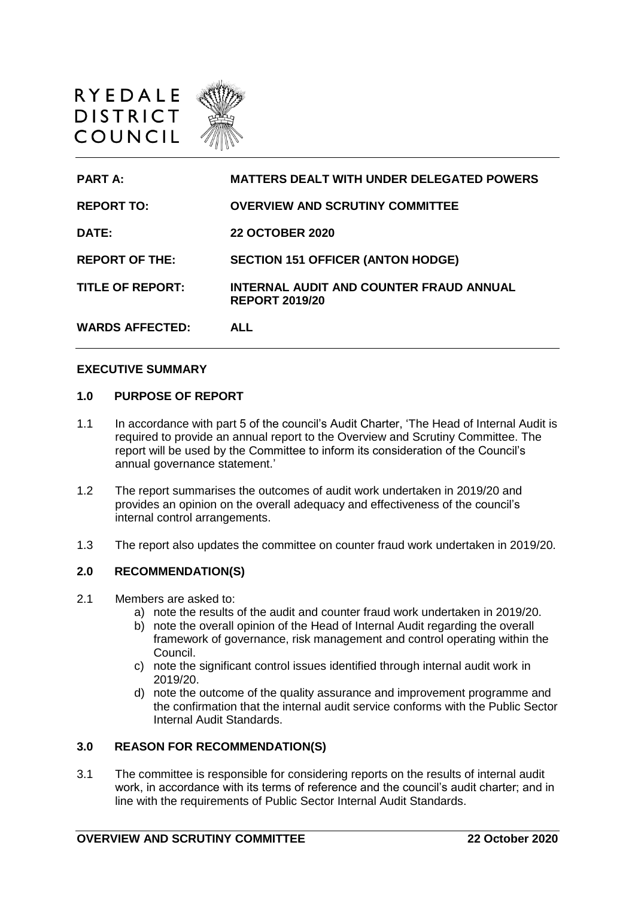



#### **EXECUTIVE SUMMARY**

#### **1.0 PURPOSE OF REPORT**

- 1.1 In accordance with part 5 of the council's Audit Charter, 'The Head of Internal Audit is required to provide an annual report to the Overview and Scrutiny Committee. The report will be used by the Committee to inform its consideration of the Council's annual governance statement.'
- 1.2 The report summarises the outcomes of audit work undertaken in 2019/20 and provides an opinion on the overall adequacy and effectiveness of the council's internal control arrangements.
- 1.3 The report also updates the committee on counter fraud work undertaken in 2019/20.

#### **2.0 RECOMMENDATION(S)**

- 2.1 Members are asked to:
	- a) note the results of the audit and counter fraud work undertaken in 2019/20.
	- b) note the overall opinion of the Head of Internal Audit regarding the overall framework of governance, risk management and control operating within the Council.
	- c) note the significant control issues identified through internal audit work in 2019/20.
	- d) note the outcome of the quality assurance and improvement programme and the confirmation that the internal audit service conforms with the Public Sector Internal Audit Standards.

### **3.0 REASON FOR RECOMMENDATION(S)**

3.1 The committee is responsible for considering reports on the results of internal audit work, in accordance with its terms of reference and the council's audit charter; and in line with the requirements of Public Sector Internal Audit Standards.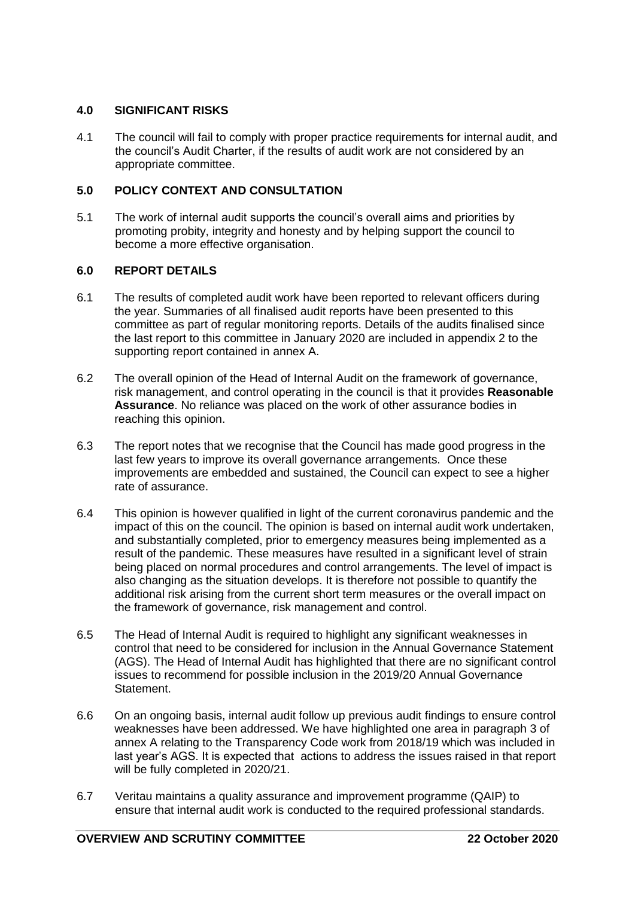# **4.0 SIGNIFICANT RISKS**

4.1 The council will fail to comply with proper practice requirements for internal audit, and the council's Audit Charter, if the results of audit work are not considered by an appropriate committee.

# **5.0 POLICY CONTEXT AND CONSULTATION**

5.1 The work of internal audit supports the council's overall aims and priorities by promoting probity, integrity and honesty and by helping support the council to become a more effective organisation.

# **6.0 REPORT DETAILS**

- 6.1 The results of completed audit work have been reported to relevant officers during the year. Summaries of all finalised audit reports have been presented to this committee as part of regular monitoring reports. Details of the audits finalised since the last report to this committee in January 2020 are included in appendix 2 to the supporting report contained in annex A.
- 6.2 The overall opinion of the Head of Internal Audit on the framework of governance, risk management, and control operating in the council is that it provides **Reasonable Assurance**. No reliance was placed on the work of other assurance bodies in reaching this opinion.
- 6.3 The report notes that we recognise that the Council has made good progress in the last few years to improve its overall governance arrangements. Once these improvements are embedded and sustained, the Council can expect to see a higher rate of assurance.
- 6.4 This opinion is however qualified in light of the current coronavirus pandemic and the impact of this on the council. The opinion is based on internal audit work undertaken, and substantially completed, prior to emergency measures being implemented as a result of the pandemic. These measures have resulted in a significant level of strain being placed on normal procedures and control arrangements. The level of impact is also changing as the situation develops. It is therefore not possible to quantify the additional risk arising from the current short term measures or the overall impact on the framework of governance, risk management and control.
- 6.5 The Head of Internal Audit is required to highlight any significant weaknesses in control that need to be considered for inclusion in the Annual Governance Statement (AGS). The Head of Internal Audit has highlighted that there are no significant control issues to recommend for possible inclusion in the 2019/20 Annual Governance Statement.
- 6.6 On an ongoing basis, internal audit follow up previous audit findings to ensure control weaknesses have been addressed. We have highlighted one area in paragraph 3 of annex A relating to the Transparency Code work from 2018/19 which was included in last year's AGS. It is expected that actions to address the issues raised in that report will be fully completed in 2020/21.
- 6.7 Veritau maintains a quality assurance and improvement programme (QAIP) to ensure that internal audit work is conducted to the required professional standards.